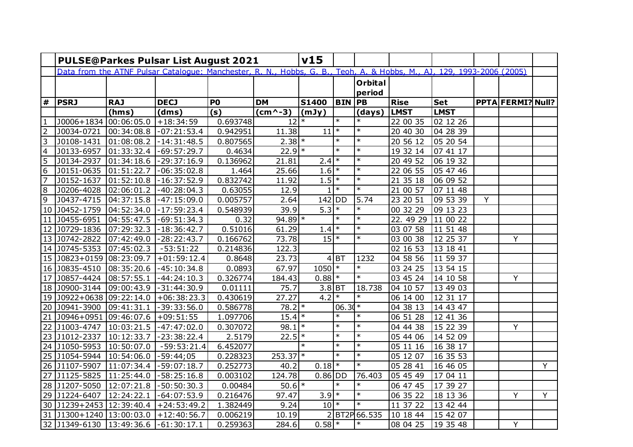|                         | <b>PULSE@Parkes Pulsar List August 2021</b>                                                                           |            |                                            |                     |                      |                     |               |                |             |             |   |                          |   |
|-------------------------|-----------------------------------------------------------------------------------------------------------------------|------------|--------------------------------------------|---------------------|----------------------|---------------------|---------------|----------------|-------------|-------------|---|--------------------------|---|
|                         | Data from the ATNF Pulsar Catalogue: Manchester, R. N., Hobbs, G. B., Teoh, A. & Hobbs, M., AJ, 129, 1993-2006 (2005) |            |                                            |                     |                      |                     |               |                |             |             |   |                          |   |
|                         |                                                                                                                       |            |                                            |                     |                      |                     |               | <b>Orbital</b> |             |             |   |                          |   |
|                         |                                                                                                                       |            |                                            |                     |                      |                     |               | period         |             |             |   |                          |   |
| $\pmb{\#}$              | <b>PSRJ</b>                                                                                                           | <b>RAJ</b> | <b>DECJ</b>                                | <b>P0</b>           | <b>DM</b>            | S1400               | <b>BIN PB</b> |                | <b>Rise</b> | <b>Set</b>  |   | <b>PPTA FERMI? Null?</b> |   |
|                         |                                                                                                                       | (hms)      | (dms)                                      | (s)                 | $(cm^{\wedge -3})$   | (mJy)               |               | (days)         | <b>LMST</b> | <b>LMST</b> |   |                          |   |
| $\mathbf{1}$            | J0006+1834 00:06:05.0                                                                                                 |            | $+18:34:59$                                | 0.693748            | 12                   | $\ast$              | $\ast$        | $\ast$         | 22 00 35    | 02 12 26    |   |                          |   |
| $\overline{2}$          | J0034-0721                                                                                                            |            | $ 00:34:08.8 $ -07:21:53.4                 | 0.942951            | 11.38                | $\overline{11}$ *   |               | $\ast$         | 20 40 30    | 04 28 39    |   |                          |   |
| $\overline{\omega}$     | $ $ J0108-1431 $ $ 01:08:08.2   -14:31:48.5                                                                           |            |                                            | 0.807565            | $2.38$ *             |                     | $\ast$        | $\ast$         | 20 56 12    | 05 20 54    |   |                          |   |
| $\overline{\mathbf{4}}$ | J0133-6957                                                                                                            | 01:33:32.4 | $-69:57:29.7$                              | 0.4634              | $22.9$ *             |                     | $\ast$        | $\ast$         | 19 32 14    | 07 41 17    |   |                          |   |
| $\overline{5}$          | J0134-2937                                                                                                            |            | $ 01:34:18.6 $ - 29:37:16.9                | 0.136962            | 21.81                | $2.4$ *             |               | $\ast$         | 20 49 52    | 06 19 32    |   |                          |   |
| $\overline{6}$          | J0151-0635  01:51:22.7                                                                                                |            | $-06:35:02.8$                              | 1.464               | 25.66                | $1.6$ <sup>*</sup>  |               | $\ast$         | 22 06 55    | 05 47 46    |   |                          |   |
| $\overline{7}$          | J0152-1637                                                                                                            |            | $ 01:52:10.8 $ - 16:37:52.9                | 0.832742            | 11.92                | $1.5$ <sup>*</sup>  |               | $\ast$         | 21 35 18    | 06 09 52    |   |                          |   |
| $\overline{8}$          | J0206-4028  02:06:01.2  -40:28:04.3                                                                                   |            |                                            | 0.63055             | 12.9                 |                     | $1$ *         | $\ast$         | 21 00 57    | 07 11 48    |   |                          |   |
| $\overline{9}$          | J0437-4715  04:37:15.8  -47:15:09.0                                                                                   |            |                                            | 0.005757            | 2.64                 | $142$ DD            |               | 5.74           | 23 20 51    | 09 53 39    | Y |                          |   |
|                         | 10   J0452-1759   04:52:34.0   -17:59:23.4                                                                            |            |                                            | 0.548939            | 39.9                 | $5.3$ *             |               | $\ast$         | 00 32 29    | 09 13 23    |   |                          |   |
|                         | 11 J0455-6951                                                                                                         | 04:55:47.5 | $-69:51:34.3$                              | 0.32                | $94.89$ <sup>*</sup> |                     | $\ast$        | $\ast$         | 22.49 29    | 11 00 22    |   |                          |   |
|                         | 12 J0729-1836 07:29:32.3 -18:36:42.7                                                                                  |            |                                            | 0.51016             | 61.29                | $1.4$ *             |               | $*$            | 03 07 58    | 11 51 48    |   |                          |   |
|                         | 13 J0742-2822                                                                                                         |            | $ 07:42:49.0  -28:22:43.7$                 | 0.166762            | 73.78                | $15$ <sup>*</sup>   |               | $\ast$         | 03 00 38    | 12 25 37    |   | Y                        |   |
|                         | 14 J0745-5353 07:45:02.3                                                                                              |            | $-53:51:22$                                | 0.214836            | 122.3                |                     |               |                | 02 16 53    | 13 18 41    |   |                          |   |
|                         |                                                                                                                       |            | 15   J0823+0159   08:23:09.7   +01:59:12.4 | 0.8648              | 23.73                |                     | $4$ BT        | 1232           | 04 58 56    | 11 59 37    |   |                          |   |
|                         | 16   J0835-4510   08:35:20.6   -45:10:34.8                                                                            |            |                                            | $\overline{0.0893}$ | 67.97                | $1050$ <sup>*</sup> |               | $\ast$         | 03 24 25    | 13 54 15    |   |                          |   |
|                         | 17 J0857-4424 08:57:55.1                                                                                              |            | $-44:24:10.3$                              | 0.326774            | 184.43               | $0.88$ *            |               | $\ast$         | 03 45 24    | 14 10 58    |   | Y                        |   |
|                         | 18 J0900-3144 09:00:43.9                                                                                              |            | $-31:44:30.9$                              | 0.01111             | 75.7                 | $3.8\overline{BT}$  |               | 18.738         | 04 10 57    | 13 49 03    |   |                          |   |
|                         |                                                                                                                       |            | 19   10922+0638   09:22:14.0   +06:38:23.3 | 0.430619            | 27.27                | $4.2$ *             |               | $\ast$         | 06 14 00    | 12 31 17    |   |                          |   |
|                         | 20 J0941-3900 09:41:31.1                                                                                              |            | $-39:33:56.0$                              | 0.586778            | $78.2$ *             |                     | $06.30*$      |                | 04 38 13    | 14 43 47    |   |                          |   |
|                         | 21 J0946+0951 09:46:07.6 +09:51:55                                                                                    |            |                                            | 1.097706            | $15.4*$              |                     | $\ast$        | $\ast$         | 06 51 28    | 12 41 36    |   |                          |   |
|                         | 22 J1003-4747 10:03:21.5 -47:47:02.0                                                                                  |            |                                            | 0.307072            | $98.1$ <sup>*</sup>  |                     | $\ast$        | $\ast$         | 04 44 38    | 15 22 39    |   | Y                        |   |
|                         | 23 J1012-2337 10:12:33.7                                                                                              |            | $-23:38:22.4$                              | 2.5179              | $22.5$ <sup>*</sup>  |                     | $\ast$        | $\ast$         | 05 44 06    | 14 52 09    |   |                          |   |
|                         | 24 J1050-5953 10:50:07.0                                                                                              |            | $-59:53:21.4$                              | 6.452077            |                      | $\ast$              | $\ast$        | $\ast$         | 05 11 16    | 16 38 17    |   |                          |   |
|                         | 25   J1054-5944   10:54:06.0   -59:44;05                                                                              |            |                                            | 0.228323            | $253.37$ *           |                     | $\ast$        | $\ast$         | 05 12 07    | 16 35 53    |   |                          |   |
|                         | 26 J1107-5907 11:07:34.4 -59:07:18.7                                                                                  |            |                                            | 0.252773            | 40.2                 | $0.18$ *            |               | $\ast$         | 05 28 41    | 16 46 05    |   |                          | Y |
|                         | 27 J1125-5825 11:25:44.0 -58:25:16.8                                                                                  |            |                                            | 0.003102            | 124.78               | $0.86$ DD           |               | 76.403         | 05 45 49    | 17 04 11    |   |                          |   |
|                         | 28 J1207-5050 12:07:21.8 -50:50:30.3                                                                                  |            |                                            | 0.00484             | $50.6$ *             |                     | $\ast$        | $\ast$         | 06 47 45    | 17 39 27    |   |                          |   |
|                         | 29 J1224-6407                                                                                                         | 12:24:22.1 | $-64:07:53.9$                              | 0.216476            | 97.47                | $3.9$ <sup>*</sup>  |               | $*$            | 06 35 22    | 18 13 36    |   | Y                        | Y |
|                         | 30   J1239 + 2453   12:39:40.4                                                                                        |            | $+24:53:49.2$                              | 1.382449            | 9.24                 | $10$ <sup>*</sup>   |               | $\ast$         | 11 37 22    | 13 42 44    |   |                          |   |
|                         |                                                                                                                       |            | 31   J1300+1240   13:00:03.0   +12:40:56.7 | 0.006219            | 10.19                |                     |               | 2BT2P 66.535   | 10 18 44    | 15 42 07    |   |                          |   |
|                         | 32 349-6130 3:49:36.6 -61:30:17.1                                                                                     |            |                                            | 0.259363            | 284.6                | $0.58$ *            |               | $\ast$         | 08 04 25    | 19 35 48    |   | Y                        |   |